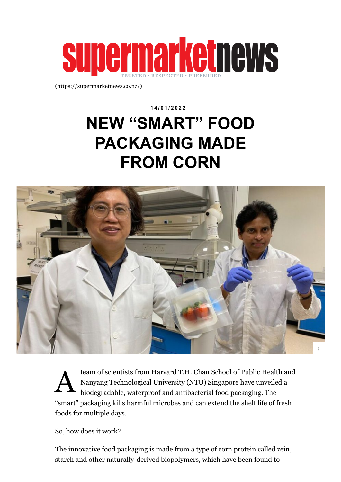

[\(https://supermarketnews.co.nz/\)](https://supermarketnews.co.nz/)

## **1 4 / 0 1 / 2 0 2 2 NEW "SMART" FOOD PACKAGING MADE FROM CORN**



 $\mathbf{A}^{^{\mathrm{i}}}_{\shortparallel}$ team of scientists from Harvard T.H. Chan School of Public Health and Nanyang Technological University (NTU) Singapore have unveiled a biodegradable, waterproof and antibacterial food packaging. The "smart" packaging kills harmful microbes and can extend the shelf life of fresh foods for multiple days.

So, how does it work?

The innovative food packaging is made from a type of corn protein called zein, starch and other naturally-derived biopolymers, which have been found to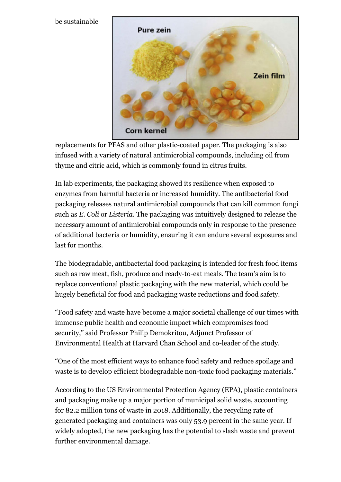## be sustainable



replacements for PFAS and other plastic-coated paper. The packaging is also infused with a variety of natural antimicrobial compounds, including oil from thyme and citric acid, which is commonly found in citrus fruits.

In lab experiments, the packaging showed its resilience when exposed to enzymes from harmful bacteria or increased humidity. The antibacterial food packaging releases natural antimicrobial compounds that can kill common fungi such as *E. Coli* or *Listeria*. The packaging was intuitively designed to release the necessary amount of antimicrobial compounds only in response to the presence of additional bacteria or humidity, ensuring it can endure several exposures and last for months.

The biodegradable, antibacterial food packaging is intended for fresh food items such as raw meat, fish, produce and ready-to-eat meals. The team's aim is to replace conventional plastic packaging with the new material, which could be hugely beneficial for food and packaging waste reductions and food safety.

"Food safety and waste have become a major societal challenge of our times with immense public health and economic impact which compromises food security," said Professor Philip Demokritou, Adjunct Professor of Environmental Health at Harvard Chan School and co-leader of the study.

"One of the most efficient ways to enhance food safety and reduce spoilage and waste is to develop efficient biodegradable non-toxic food packaging materials."

According to the US Environmental Protection Agency (EPA), plastic containers and packaging make up a major portion of municipal solid waste, accounting for 82.2 million tons of waste in 2018. Additionally, the recycling rate of generated packaging and containers was only 53.9 percent in the same year. If widely adopted, the new packaging has the potential to slash waste and prevent further environmental damage.